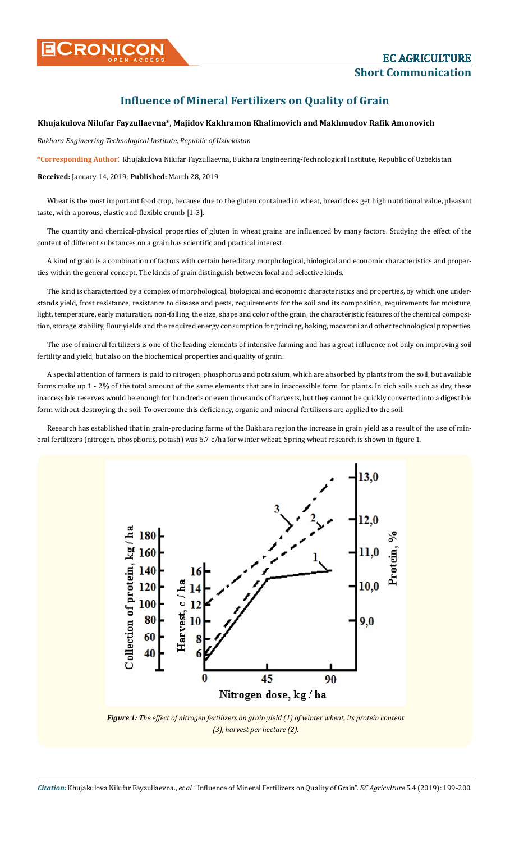## CRONICON **CRONICON Short Communication**

## **Influence of Mineral Fertilizers on Quality of Grain**

## **Khujakulova Nilufar Fayzullaevna\*, Majidov Kakhramon Khalimovich and Makhmudov Rafik Amonovich**

*Bukhara Engineering-Technological Institute, Republic of Uzbekistan*

**\*Corresponding Author**: Khujakulova Nilufar Fayzullaevna, Bukhara Engineering-Technological Institute, Republic of Uzbekistan.

**Received:** January 14, 2019; **Published:** March 28, 2019

Wheat is the most important food crop, because due to the gluten contained in wheat, bread does get high nutritional value, pleasant taste, with a porous, elastic and flexible crumb [1-3].

The quantity and chemical-physical properties of gluten in wheat grains are influenced by many factors. Studying the effect of the content of different substances on a grain has scientific and practical interest.

A kind of grain is a combination of factors with certain hereditary morphological, biological and economic characteristics and properties within the general concept. The kinds of grain distinguish between local and selective kinds.

The kind is characterized by a complex of morphological, biological and economic characteristics and properties, by which one understands yield, frost resistance, resistance to disease and pests, requirements for the soil and its composition, requirements for moisture, light, temperature, early maturation, non-falling, the size, shape and color of the grain, the characteristic features of the chemical composition, storage stability, flour yields and the required energy consumption for grinding, baking, macaroni and other technological properties.

The use of mineral fertilizers is one of the leading elements of intensive farming and has a great influence not only on improving soil fertility and yield, but also on the biochemical properties and quality of grain.

A special attention of farmers is paid to nitrogen, phosphorus and potassium, which are absorbed by plants from the soil, but available forms make up 1 - 2% of the total amount of the same elements that are in inaccessible form for plants. In rich soils such as dry, these inaccessible reserves would be enough for hundreds or even thousands of harvests, but they cannot be quickly converted into a digestible form without destroying the soil. To overcome this deficiency, organic and mineral fertilizers are applied to the soil.

Research has established that in grain-producing farms of the Bukhara region the increase in grain yield as a result of the use of mineral fertilizers (nitrogen, phosphorus, potash) was 6.7 c/ha for winter wheat. Spring wheat research is shown in figure 1.



*Figure 1: The effect of nitrogen fertilizers on grain yield (1) of winter wheat, its protein content (3), harvest per hectare (2).*

*Citation:* Khujakulova Nilufar Fayzullaevna., *et al*. "Influence of Mineral Fertilizers on Quality of Grain". *EC Agriculture* 5.4 (2019): 199-200.